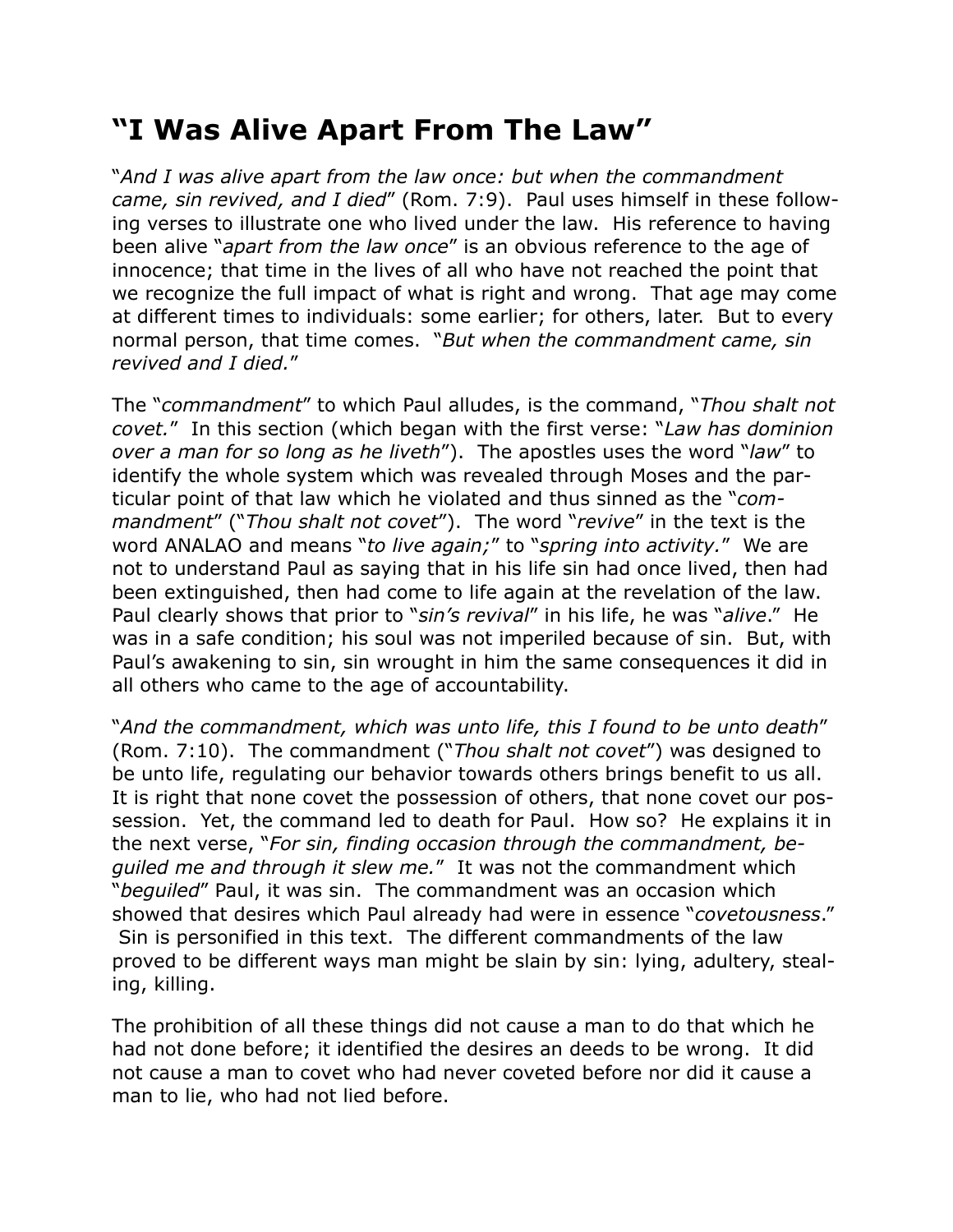## **"I Was Alive Apart From The Law"**

"*And I was alive apart from the law once: but when the commandment came, sin revived, and I died*" (Rom. 7:9). Paul uses himself in these following verses to illustrate one who lived under the law. His reference to having been alive "*apart from the law once*" is an obvious reference to the age of innocence; that time in the lives of all who have not reached the point that we recognize the full impact of what is right and wrong. That age may come at different times to individuals: some earlier; for others, later. But to every normal person, that time comes. "*But when the commandment came, sin revived and I died.*"

The "*commandment*" to which Paul alludes, is the command, "*Thou shalt not covet.*" In this section (which began with the first verse: "*Law has dominion over a man for so long as he liveth*"). The apostles uses the word "*law*" to identify the whole system which was revealed through Moses and the particular point of that law which he violated and thus sinned as the "*commandment*" ("*Thou shalt not covet*"). The word "*revive*" in the text is the word ANALAO and means "*to live again;*" to "*spring into activity.*" We are not to understand Paul as saying that in his life sin had once lived, then had been extinguished, then had come to life again at the revelation of the law. Paul clearly shows that prior to "*sin's revival*" in his life, he was "*alive*." He was in a safe condition; his soul was not imperiled because of sin. But, with Paul's awakening to sin, sin wrought in him the same consequences it did in all others who came to the age of accountability.

"*And the commandment, which was unto life, this I found to be unto death*" (Rom. 7:10). The commandment ("*Thou shalt not covet*") was designed to be unto life, regulating our behavior towards others brings benefit to us all. It is right that none covet the possession of others, that none covet our possession. Yet, the command led to death for Paul. How so? He explains it in the next verse, "*For sin, finding occasion through the commandment, beguiled me and through it slew me.*" It was not the commandment which "*beguiled*" Paul, it was sin. The commandment was an occasion which showed that desires which Paul already had were in essence "*covetousness*." Sin is personified in this text. The different commandments of the law proved to be different ways man might be slain by sin: lying, adultery, stealing, killing.

The prohibition of all these things did not cause a man to do that which he had not done before; it identified the desires an deeds to be wrong. It did not cause a man to covet who had never coveted before nor did it cause a man to lie, who had not lied before.